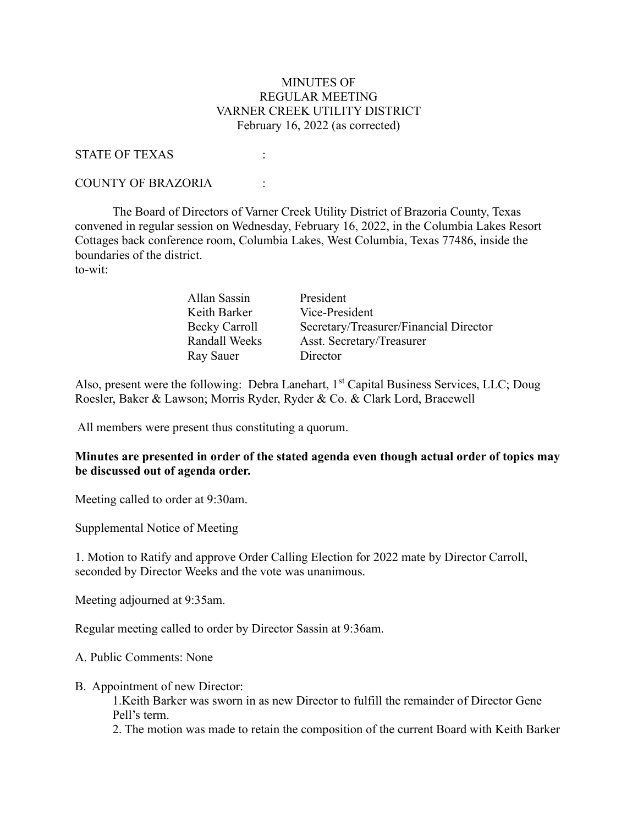## MINUTES OF REGULAR MEETING VARNER CREEK UTILITY DISTRICT February 16, 2022 (as corrected)

#### STATE OF TEXAS :

### COUNTY OF BRAZORIA :

 The Board of Directors of Varner Creek Utility District of Brazoria County, Texas convened in regular session on Wednesday, February 16, 2022, in the Columbia Lakes Resort Cottages back conference room, Columbia Lakes, West Columbia, Texas 77486, inside the boundaries of the district. to-wit:

| Allan Sassin  | President                              |
|---------------|----------------------------------------|
| Keith Barker  | Vice-President                         |
| Becky Carroll | Secretary/Treasurer/Financial Director |
| Randall Weeks | Asst. Secretary/Treasurer              |
| Ray Sauer     | Director                               |

Also, present were the following: Debra Lanehart, 1<sup>st</sup> Capital Business Services, LLC; Doug Roesler, Baker & Lawson; Morris Ryder, Ryder & Co. & Clark Lord, Bracewell

All members were present thus constituting a quorum.

### Minutes are presented in order of the stated agenda even though actual order of topics may be discussed out of agenda order.

Meeting called to order at 9:30am.

Supplemental Notice of Meeting

1. Motion to Ratify and approve Order Calling Election for 2022 mate by Director Carroll, seconded by Director Weeks and the vote was unanimous.

Meeting adjourned at 9:35am.

Regular meeting called to order by Director Sassin at 9:36am.

A. Public Comments: None

B. Appointment of new Director:

1.Keith Barker was sworn in as new Director to fulfill the remainder of Director Gene Pell's term.

2. The motion was made to retain the composition of the current Board with Keith Barker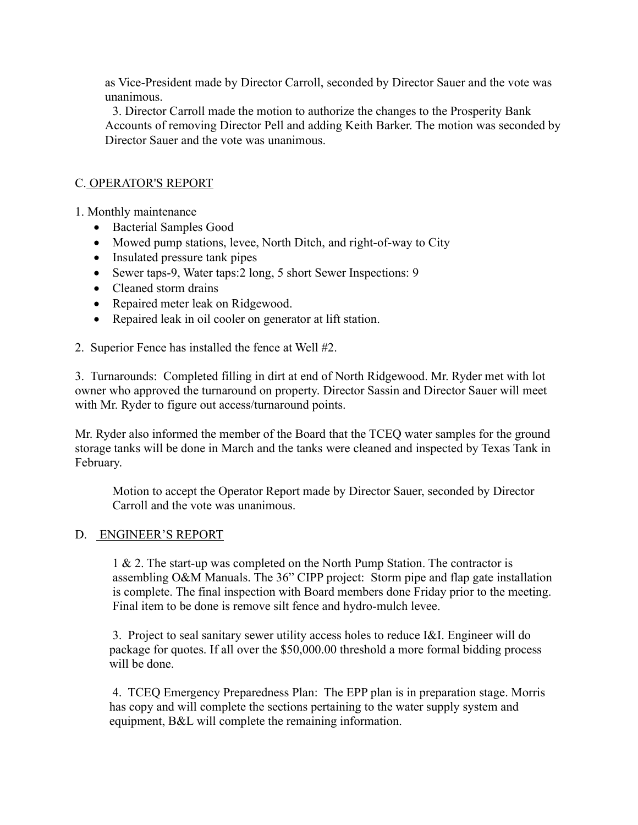as Vice-President made by Director Carroll, seconded by Director Sauer and the vote was unanimous.

3. Director Carroll made the motion to authorize the changes to the Prosperity Bank Accounts of removing Director Pell and adding Keith Barker. The motion was seconded by Director Sauer and the vote was unanimous.

# C. OPERATOR'S REPORT

1. Monthly maintenance

- Bacterial Samples Good
- Mowed pump stations, levee, North Ditch, and right-of-way to City
- Insulated pressure tank pipes
- Sewer taps-9, Water taps: 2 long, 5 short Sewer Inspections: 9
- Cleaned storm drains
- Repaired meter leak on Ridgewood.
- Repaired leak in oil cooler on generator at lift station.

2. Superior Fence has installed the fence at Well #2.

3. Turnarounds: Completed filling in dirt at end of North Ridgewood. Mr. Ryder met with lot owner who approved the turnaround on property. Director Sassin and Director Sauer will meet with Mr. Ryder to figure out access/turnaround points.

Mr. Ryder also informed the member of the Board that the TCEQ water samples for the ground storage tanks will be done in March and the tanks were cleaned and inspected by Texas Tank in February.

Motion to accept the Operator Report made by Director Sauer, seconded by Director Carroll and the vote was unanimous.

### D. ENGINEER'S REPORT

1 & 2. The start-up was completed on the North Pump Station. The contractor is assembling O&M Manuals. The 36" CIPP project: Storm pipe and flap gate installation is complete. The final inspection with Board members done Friday prior to the meeting. Final item to be done is remove silt fence and hydro-mulch levee.

3. Project to seal sanitary sewer utility access holes to reduce I&I. Engineer will do package for quotes. If all over the \$50,000.00 threshold a more formal bidding process will be done.

4. TCEQ Emergency Preparedness Plan: The EPP plan is in preparation stage. Morris has copy and will complete the sections pertaining to the water supply system and equipment, B&L will complete the remaining information.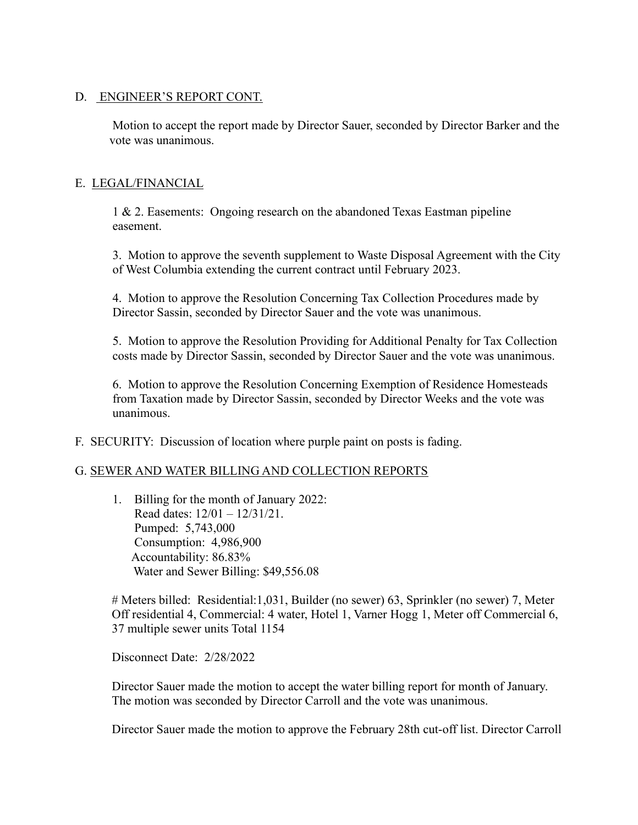## D. ENGINEER'S REPORT CONT.

Motion to accept the report made by Director Sauer, seconded by Director Barker and the vote was unanimous.

# E. LEGAL/FINANCIAL

1 & 2. Easements: Ongoing research on the abandoned Texas Eastman pipeline easement.

3. Motion to approve the seventh supplement to Waste Disposal Agreement with the City of West Columbia extending the current contract until February 2023.

4. Motion to approve the Resolution Concerning Tax Collection Procedures made by Director Sassin, seconded by Director Sauer and the vote was unanimous.

5. Motion to approve the Resolution Providing for Additional Penalty for Tax Collection costs made by Director Sassin, seconded by Director Sauer and the vote was unanimous.

6. Motion to approve the Resolution Concerning Exemption of Residence Homesteads from Taxation made by Director Sassin, seconded by Director Weeks and the vote was unanimous.

F. SECURITY: Discussion of location where purple paint on posts is fading.

### G. SEWER AND WATER BILLING AND COLLECTION REPORTS

1. Billing for the month of January 2022: Read dates: 12/01 – 12/31/21. Pumped: 5,743,000 Consumption: 4,986,900 Accountability: 86.83% Water and Sewer Billing: \$49,556.08

# Meters billed: Residential:1,031, Builder (no sewer) 63, Sprinkler (no sewer) 7, Meter Off residential 4, Commercial: 4 water, Hotel 1, Varner Hogg 1, Meter off Commercial 6, 37 multiple sewer units Total 1154

Disconnect Date: 2/28/2022

Director Sauer made the motion to accept the water billing report for month of January. The motion was seconded by Director Carroll and the vote was unanimous.

Director Sauer made the motion to approve the February 28th cut-off list. Director Carroll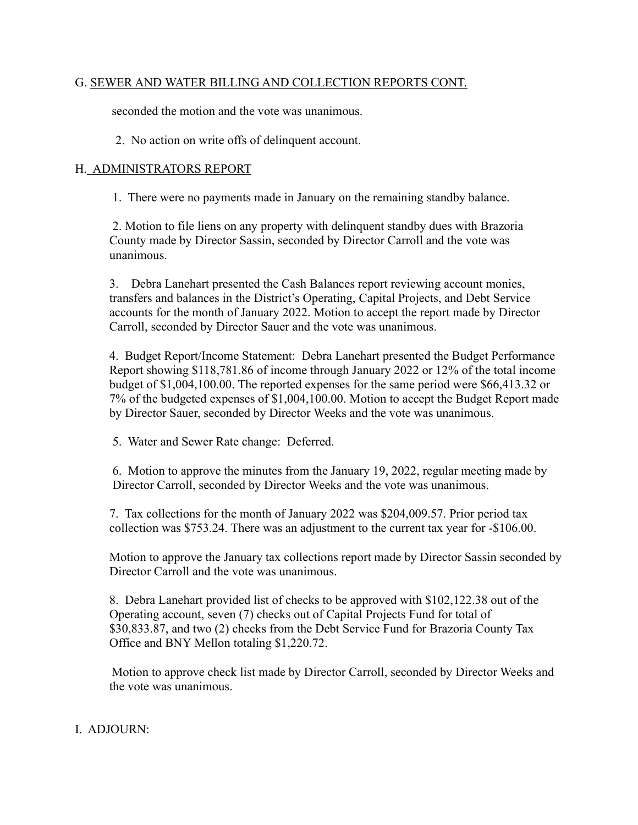# G. SEWER AND WATER BILLING AND COLLECTION REPORTS CONT.

seconded the motion and the vote was unanimous.

2. No action on write offs of delinquent account.

## H. ADMINISTRATORS REPORT

1. There were no payments made in January on the remaining standby balance.

2. Motion to file liens on any property with delinquent standby dues with Brazoria County made by Director Sassin, seconded by Director Carroll and the vote was unanimous.

3. Debra Lanehart presented the Cash Balances report reviewing account monies, transfers and balances in the District's Operating, Capital Projects, and Debt Service accounts for the month of January 2022. Motion to accept the report made by Director Carroll, seconded by Director Sauer and the vote was unanimous.

4. Budget Report/Income Statement: Debra Lanehart presented the Budget Performance Report showing \$118,781.86 of income through January 2022 or 12% of the total income budget of \$1,004,100.00. The reported expenses for the same period were \$66,413.32 or 7% of the budgeted expenses of \$1,004,100.00. Motion to accept the Budget Report made by Director Sauer, seconded by Director Weeks and the vote was unanimous.

5. Water and Sewer Rate change: Deferred.

6. Motion to approve the minutes from the January 19, 2022, regular meeting made by Director Carroll, seconded by Director Weeks and the vote was unanimous.

7. Tax collections for the month of January 2022 was \$204,009.57. Prior period tax collection was \$753.24. There was an adjustment to the current tax year for -\$106.00.

Motion to approve the January tax collections report made by Director Sassin seconded by Director Carroll and the vote was unanimous.

8. Debra Lanehart provided list of checks to be approved with \$102,122.38 out of the Operating account, seven (7) checks out of Capital Projects Fund for total of \$30,833.87, and two (2) checks from the Debt Service Fund for Brazoria County Tax Office and BNY Mellon totaling \$1,220.72.

Motion to approve check list made by Director Carroll, seconded by Director Weeks and the vote was unanimous.

# I. ADJOURN: